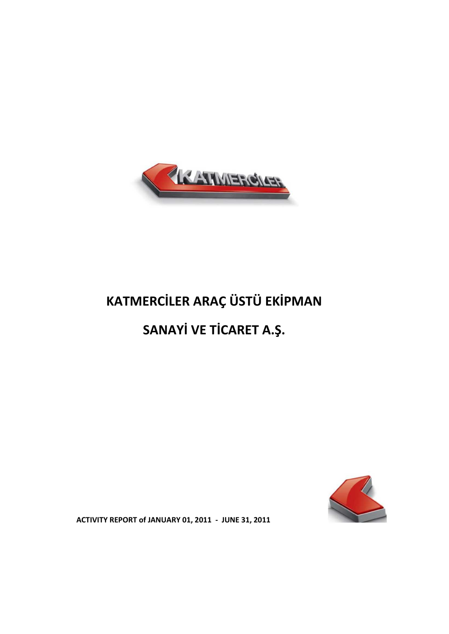

# **KATMERCİLER ARAÇ ÜSTÜ EKİPMAN**

## **SANAYİ VE TİCARET A.Ş.**



**ACTIVITY REPORT of JANUARY 01, 2011 - JUNE 31, 2011**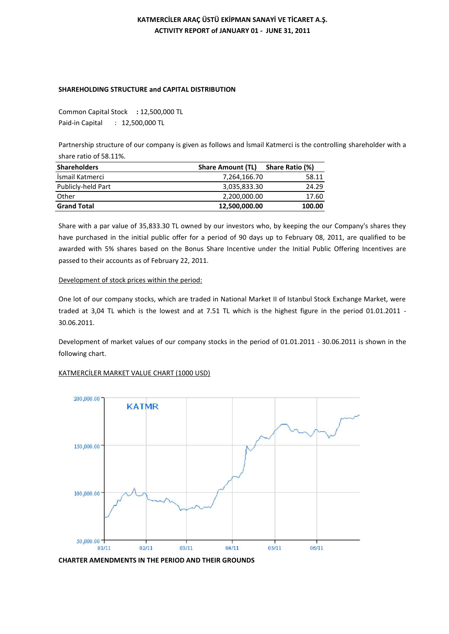## **KATMERCİLER ARAÇ ÜSTÜ EKİPMAN SANAYİ VE TİCARET A.Ş. ACTIVITY REPORT of JANUARY 01 - JUNE 31, 2011**

## **SHAREHOLDING STRUCTURE and CAPITAL DISTRIBUTION**

Common Capital Stock **:** 12,500,000 TL Paid-in Capital : 12,500,000 TL

Partnership structure of our company is given as follows and İsmail Katmerci is the controlling shareholder with a share ratio of 58.11%.

| <b>Shareholders</b> | <b>Share Amount (TL)</b> | Share Ratio (%) |
|---------------------|--------------------------|-----------------|
| İsmail Katmerci     | 7,264,166.70             | 58.11           |
| Publicly-held Part  | 3,035,833.30             | 24.29           |
| Other               | 2,200,000.00             | 17.60           |
| <b>Grand Total</b>  | 12,500,000.00            | 100.00          |

Share with a par value of 35,833.30 TL owned by our investors who, by keeping the our Company's shares they have purchased in the initial public offer for a period of 90 days up to February 08, 2011, are qualified to be awarded with 5% shares based on the Bonus Share Incentive under the Initial Public Offering Incentives are passed to their accounts as of February 22, 2011.

## Development of stock prices within the period:

One lot of our company stocks, which are traded in National Market II of Istanbul Stock Exchange Market, were traded at 3,04 TL which is the lowest and at 7.51 TL which is the highest figure in the period 01.01.2011 - 30.06.2011.

Development of market values of our company stocks in the period of 01.01.2011 - 30.06.2011 is shown in the following chart.

## KATMERCİLER MARKET VALUE CHART (1000 USD)



**CHARTER AMENDMENTS IN THE PERIOD AND THEIR GROUNDS**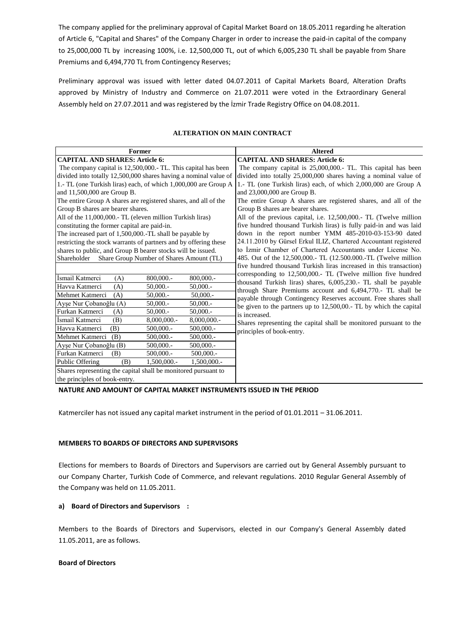The company applied for the preliminary approval of Capital Market Board on 18.05.2011 regarding he alteration of Article 6, "Capital and Shares" of the Company Charger in order to increase the paid-in capital of the company to 25,000,000 TL by increasing 100%, i.e. 12,500,000 TL, out of which 6,005,230 TL shall be payable from Share Premiums and 6,494,770 TL from Contingency Reserves;

Preliminary approval was issued with letter dated 04.07.2011 of Capital Markets Board, Alteration Drafts approved by Ministry of Industry and Commerce on 21.07.2011 were voted in the Extraordinary General Assembly held on 27.07.2011 and was registered by the İzmir Trade Registry Office on 04.08.2011.

| <b>Former</b>                                                    |             | <b>Altered</b>                                                                                                                |
|------------------------------------------------------------------|-------------|-------------------------------------------------------------------------------------------------------------------------------|
| <b>CAPITAL AND SHARES: Article 6:</b>                            |             | <b>CAPITAL AND SHARES: Article 6:</b>                                                                                         |
| The company capital is 12,500,000. TL. This capital has been     |             | The company capital is 25,000,000. TL. This capital has been                                                                  |
| divided into totally 12,500,000 shares having a nominal value of |             | divided into totally 25,000,000 shares having a nominal value of                                                              |
| 1.- TL (one Turkish liras) each, of which 1,000,000 are Group A  |             | 1.- TL (one Turkish liras) each, of which 2,000,000 are Group A                                                               |
| and 11,500,000 are Group B.                                      |             | and 23,000,000 are Group B.                                                                                                   |
| The entire Group A shares are registered shares, and all of the  |             | The entire Group A shares are registered shares, and all of the                                                               |
| Group B shares are bearer shares.                                |             | Group B shares are bearer shares.                                                                                             |
| All of the 11,000,000.- TL (eleven million Turkish liras)        |             | All of the previous capital, i.e. 12,500,000.- TL (Twelve million                                                             |
| constituting the former capital are paid-in.                     |             | five hundred thousand Turkish liras) is fully paid-in and was laid                                                            |
| The increased part of 1,500,000.-TL shall be payable by          |             | down in the report number YMM 485-2010-03-153-90 dated                                                                        |
| restricting the stock warrants of partners and by offering these |             | 24.11.2010 by Gürsel Erkul ILIZ, Chartered Accountant registered                                                              |
| shares to public, and Group B bearer stocks will be issued.      |             | to Izmir Chamber of Chartered Accountants under License No.                                                                   |
| Share Group Number of Shares Amount (TL)<br>Shareholder          |             | 485. Out of the 12,500,000.- TL (12.500.000.-TL (Twelve million                                                               |
|                                                                  |             | five hundred thousand Turkish liras increased in this transaction)                                                            |
| İsmail Katmerci<br>800,000.-<br>(A)                              | 800,000.-   | corresponding to 12,500,000. TL (Twelve million five hundred                                                                  |
| Havva Katmerci<br>(A)<br>50,000.                                 | $50,000.$ - | thousand Turkish liras) shares, 6,005,230.- TL shall be payable<br>through Share Premiums account and 6,494,770.- TL shall be |
| (A)<br>50,000.<br>Mehmet Katmerci                                | $50,000.$ - | payable through Contingency Reserves account. Free shares shall                                                               |
| Ayşe Nur Çobanoğlu (A)<br>50,000.                                | $50,000.$ - | be given to the partners up to 12,500,00.- TL by which the capital                                                            |
| Furkan Katmerci<br>(A)<br>$50,000.$ -                            | 50,000.     | is increased.                                                                                                                 |
| İsmail Katmerci<br>8,000,000.-<br>(B)                            | 8,000,000.- | Shares representing the capital shall be monitored pursuant to the                                                            |
| Havva Katmerci<br>(B)<br>500,000.-                               | 500,000.-   | principles of book-entry.                                                                                                     |
| Mehmet Katmerci<br>(B)<br>500,000.-                              | 500,000.-   |                                                                                                                               |
| Ayşe Nur Çobanoğlu (B)<br>500,000 .-                             | 500,000.-   |                                                                                                                               |
| Furkan Katmerci<br>(B)<br>500,000.-                              | 500,000.-   |                                                                                                                               |
| Public Offering<br>1,500,000 .-<br>(B)                           | 1,500,000.- |                                                                                                                               |
| Shares representing the capital shall be monitored pursuant to   |             |                                                                                                                               |
| the principles of book-entry.                                    |             |                                                                                                                               |

## **ALTERATION ON MAIN CONTRACT**

#### **NATURE AND AMOUNT OF CAPITAL MARKET INSTRUMENTS ISSUED IN THE PERIOD**

Katmerciler has not issued any capital market instrument in the period of 01.01.2011 – 31.06.2011.

#### **MEMBERS TO BOARDS OF DIRECTORS AND SUPERVISORS**

Elections for members to Boards of Directors and Supervisors are carried out by General Assembly pursuant to our Company Charter, Turkish Code of Commerce, and relevant regulations. 2010 Regular General Assembly of the Company was held on 11.05.2011.

## **a) Board of Directors and Supervisors :**

Members to the Boards of Directors and Supervisors, elected in our Company's General Assembly dated 11.05.2011, are as follows.

## **Board of Directors**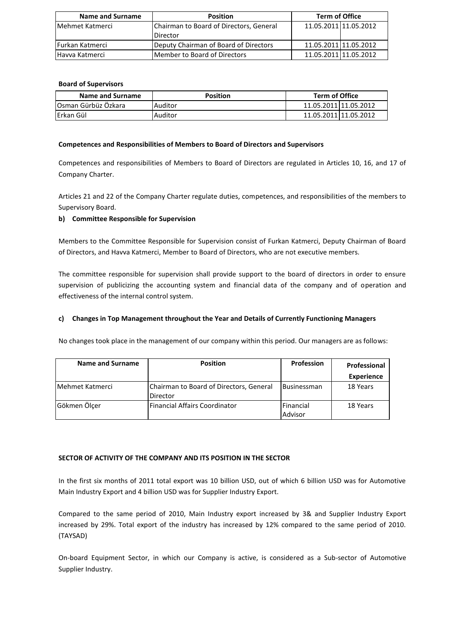| Name and Surname        | <b>Position</b>                         | <b>Term of Office</b> |  |
|-------------------------|-----------------------------------------|-----------------------|--|
| <b>IMehmet Katmerci</b> | Chairman to Board of Directors, General | 11.05.2011 11.05.2012 |  |
|                         | Director                                |                       |  |
| <b>IFurkan Katmerci</b> | Deputy Chairman of Board of Directors   | 11.05.2011 11.05.2012 |  |
| Havya Katmerci          | <b>IMember to Board of Directors</b>    | 11.05.2011 11.05.2012 |  |

## **Board of Supervisors**

| Name and Surname    | <b>Position</b> | <b>Term of Office</b> |  |
|---------------------|-----------------|-----------------------|--|
| Osman Gürbüz Özkara | Auditor         | 11.05.2011 11.05.2012 |  |
| lErkan Gül          | Auditor         | 11.05.2011 11.05.2012 |  |

## **Competences and Responsibilities of Members to Board of Directors and Supervisors**

Competences and responsibilities of Members to Board of Directors are regulated in Articles 10, 16, and 17 of Company Charter.

Articles 21 and 22 of the Company Charter regulate duties, competences, and responsibilities of the members to Supervisory Board.

## **b) Committee Responsible for Supervision**

Members to the Committee Responsible for Supervision consist of Furkan Katmerci, Deputy Chairman of Board of Directors, and Havva Katmerci, Member to Board of Directors, who are not executive members.

The committee responsible for supervision shall provide support to the board of directors in order to ensure supervision of publicizing the accounting system and financial data of the company and of operation and effectiveness of the internal control system.

## **c) Changes in Top Management throughout the Year and Details of Currently Functioning Managers**

No changes took place in the management of our company within this period. Our managers are as follows:

| Name and Surname | <b>Position</b>                                     | <b>Profession</b>           | Professional      |
|------------------|-----------------------------------------------------|-----------------------------|-------------------|
|                  |                                                     |                             | <b>Experience</b> |
| Mehmet Katmerci  | Chairman to Board of Directors, General<br>Director | <b>Businessman</b>          | 18 Years          |
| Gökmen Ölçer     | <b>Financial Affairs Coordinator</b>                | <b>Financial</b><br>Advisor | 18 Years          |

## **SECTOR OF ACTIVITY OF THE COMPANY AND ITS POSITION IN THE SECTOR**

In the first six months of 2011 total export was 10 billion USD, out of which 6 billion USD was for Automotive Main Industry Export and 4 billion USD was for Supplier Industry Export.

Compared to the same period of 2010, Main Industry export increased by 3& and Supplier Industry Export increased by 29%. Total export of the industry has increased by 12% compared to the same period of 2010. (TAYSAD)

On-board Equipment Sector, in which our Company is active, is considered as a Sub-sector of Automotive Supplier Industry.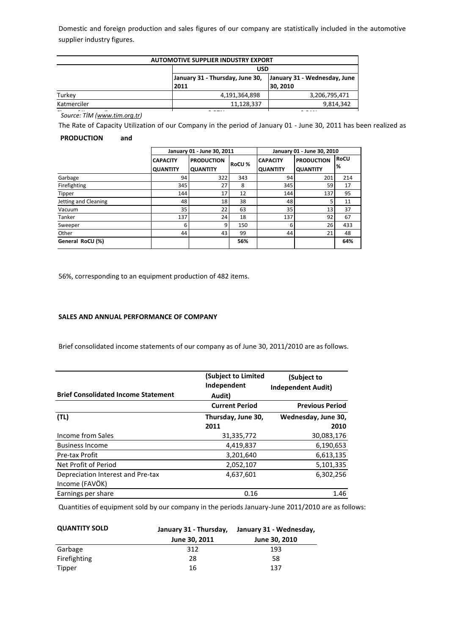Domestic and foreign production and sales figures of our company are statistically included in the automotive supplier industry figures.

| <b>AUTOMOTIVE SUPPLIER INDUSTRY EXPORT</b> |                                                            |                                          |  |  |  |  |
|--------------------------------------------|------------------------------------------------------------|------------------------------------------|--|--|--|--|
|                                            |                                                            | <b>USD</b>                               |  |  |  |  |
|                                            | January 31 - Thursday, June 30,<br>2011                    | January 31 - Wednesday, June<br>30, 2010 |  |  |  |  |
| Turkey                                     | 4,191,364,898                                              | 3,206,795,471                            |  |  |  |  |
| Katmerciler                                | 11,128,337                                                 | 9,814,342                                |  |  |  |  |
| $\sim$<br>$\ddot{\phantom{0}}$             | $\sim$ $\sim$ $\sim$ $\sim$<br>$\sim$ $\sim$ $\sim$ $\sim$ |                                          |  |  |  |  |

Share of Katmerciler 0.27% 0.31% *Source: TİM ([www.tim.org.tr\)](http://www.tim.org.tr/)*

The Rate of Capacity Utilization of our Company in the period of January 01 - June 30, 2011 has been realized as

## **PRODUCTION and**

|                      | January 01 - June 30, 2011         |                                      |               | January 01 - June 30, 2010         |                                      |                  |
|----------------------|------------------------------------|--------------------------------------|---------------|------------------------------------|--------------------------------------|------------------|
|                      | <b>CAPACITY</b><br><b>QUANTITY</b> | <b>PRODUCTION</b><br><b>QUANTITY</b> | <b>RoCU %</b> | <b>CAPACITY</b><br><b>QUANTITY</b> | <b>PRODUCTION</b><br><b>QUANTITY</b> | <b>RoCU</b><br>% |
| Garbage              | 94                                 | 322                                  | 343           | 94                                 | 201                                  | 214              |
| Firefighting         | 345                                | 27                                   | 8             | 345                                | 59                                   | 17               |
| Tipper               | 144                                | 17                                   | 12            | 144                                | 137                                  | 95               |
| Jetting and Cleaning | 48                                 | 18                                   | 38            | 48                                 |                                      | 11               |
| Vacuum               | 35                                 | 22                                   | 63            | 35                                 | 13                                   | 37               |
| Tanker               | 137                                | 24                                   | 18            | 137                                | 92                                   | 67               |
| Sweeper              | 6                                  | 9                                    | 150           | 6                                  | 26                                   | 433              |
| Other                | 44                                 | 43                                   | 99            | 44                                 | 21                                   | 48               |
| General RoCU (%)     |                                    |                                      | 56%           |                                    |                                      | 64%              |

56%, corresponding to an equipment production of 482 items.

## **SALES AND ANNUAL PERFORMANCE OF COMPANY**

Brief consolidated income statements of our company as of June 30, 2011/2010 are as follows.

| <b>Brief Consolidated Income Statement</b> | (Subject to Limited<br>Independent<br>Audit) | (Subject to<br><b>Independent Audit)</b> |
|--------------------------------------------|----------------------------------------------|------------------------------------------|
|                                            | <b>Current Period</b>                        | <b>Previous Period</b>                   |
| (TL)                                       | Thursday, June 30,                           | Wednesday, June 30,                      |
|                                            | 2011                                         | 2010                                     |
| Income from Sales                          | 31,335,772                                   | 30,083,176                               |
| <b>Business Income</b>                     | 4,419,837                                    | 6,190,653                                |
| Pre-tax Profit                             | 3,201,640                                    | 6,613,135                                |
| Net Profit of Period                       | 2,052,107                                    | 5,101,335                                |
| Depreciation Interest and Pre-tax          | 4,637,601                                    | 6,302,256                                |
| Income (FAVÖK)                             |                                              |                                          |
| Earnings per share                         | 0.16                                         | 1.46                                     |

Quantities of equipment sold by our company in the periods January-June 2011/2010 are as follows:

| <b>QUANTITY SOLD</b> | January 31 - Thursday, | January 31 - Wednesday, |  |
|----------------------|------------------------|-------------------------|--|
|                      | June 30, 2011          | June 30, 2010           |  |
| Garbage              | 312                    | 193                     |  |
| Firefighting         | 28                     | 58                      |  |
| Tipper               | 16                     | 137                     |  |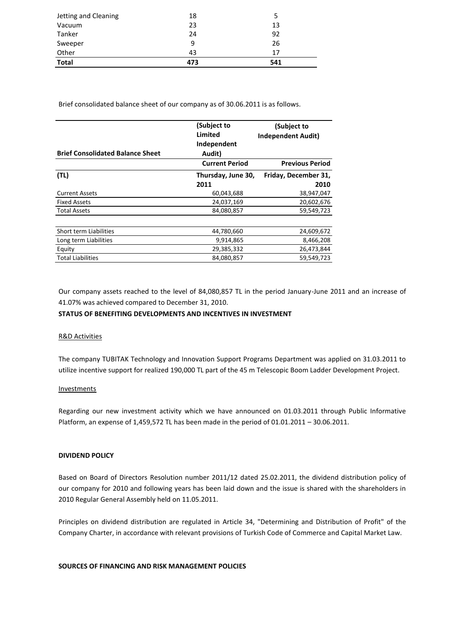| Jetting and Cleaning | 18  |     |
|----------------------|-----|-----|
| Vacuum               | 23  | 13  |
| Tanker               | 24  | 92  |
| Sweeper              | 9   | 26  |
| Other                | 43  | 17  |
| <b>Total</b>         | 473 | 541 |

Brief consolidated balance sheet of our company as of 30.06.2011 is as follows.

| (Subject to<br>Limited<br>Independent | (Subject to<br><b>Independent Audit)</b> |
|---------------------------------------|------------------------------------------|
| Audit)                                |                                          |
| <b>Current Period</b>                 | <b>Previous Period</b>                   |
| Thursday, June 30,                    | Friday, December 31,                     |
| 2011                                  | 2010                                     |
| 60,043,688                            | 38,947,047                               |
| 24,037,169                            | 20,602,676                               |
| 84,080,857                            | 59,549,723                               |
|                                       |                                          |
| 44,780,660                            | 24,609,672                               |
| 9,914,865                             | 8,466,208                                |
| 29,385,332                            | 26,473,844                               |
| 84,080,857                            | 59,549,723                               |
|                                       |                                          |

Our company assets reached to the level of 84,080,857 TL in the period January-June 2011 and an increase of 41.07% was achieved compared to December 31, 2010.

## **STATUS OF BENEFITING DEVELOPMENTS AND INCENTIVES IN INVESTMENT**

## R&D Activities

The company TUBITAK Technology and Innovation Support Programs Department was applied on 31.03.2011 to utilize incentive support for realized 190,000 TL part of the 45 m Telescopic Boom Ladder Development Project.

## **Investments**

Regarding our new investment activity which we have announced on 01.03.2011 through Public Informative Platform, an expense of 1,459,572 TL has been made in the period of 01.01.2011 – 30.06.2011.

## **DIVIDEND POLICY**

Based on Board of Directors Resolution number 2011/12 dated 25.02.2011, the dividend distribution policy of our company for 2010 and following years has been laid down and the issue is shared with the shareholders in 2010 Regular General Assembly held on 11.05.2011.

Principles on dividend distribution are regulated in Article 34, "Determining and Distribution of Profit" of the Company Charter, in accordance with relevant provisions of Turkish Code of Commerce and Capital Market Law.

## **SOURCES OF FINANCING AND RISK MANAGEMENT POLICIES**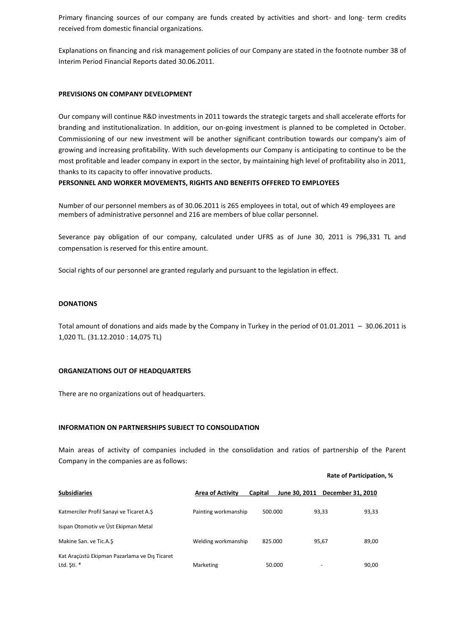Primary financing sources of our company are funds created by activities and short- and long- term credits received from domestic financial organizations.

Explanations on financing and risk management policies of our Company are stated in the footnote number 38 of Interim Period Financial Reports dated 30.06.2011.

#### **PREVISIONS ON COMPANY DEVELOPMENT**

Our company will continue R&D investments in 2011 towards the strategic targets and shall accelerate efforts for branding and institutionalization. In addition, our on-going investment is planned to be completed in October. Commissioning of our new investment will be another significant contribution towards our company's aim of growing and increasing profitability. With such developments our Company is anticipating to continue to be the most profitable and leader company in export in the sector, by maintaining high level of profitability also in 2011, thanks to its capacity to offer innovative products.

## **PERSONNEL AND WORKER MOVEMENTS, RIGHTS AND BENEFITS OFFERED TO EMPLOYEES**

Number of our personnel members as of 30.06.2011 is 265 employees in total, out of which 49 employees are members of administrative personnel and 216 are members of blue collar personnel.

Severance pay obligation of our company, calculated under UFRS as of June 30, 2011 is 796,331 TL and compensation is reserved for this entire amount.

Social rights of our personnel are granted regularly and pursuant to the legislation in effect.

## **DONATIONS**

Total amount of donations and aids made by the Company in Turkey in the period of 01.01.2011 – 30.06.2011 is 1,020 TL. (31.12.2010 : 14,075 TL)

#### **ORGANIZATIONS OUT OF HEADQUARTERS**

There are no organizations out of headquarters.

#### **INFORMATION ON PARTNERSHIPS SUBJECT TO CONSOLIDATION**

Main areas of activity of companies included in the consolidation and ratios of partnership of the Parent Company in the companies are as follows:

#### **Rate of Participation, %**

| <b>Subsidiaries</b>                           | <b>Area of Activity</b> | Capital | June 30, 2011 December 31, 2010 |       |
|-----------------------------------------------|-------------------------|---------|---------------------------------|-------|
| Katmerciler Profil Sanayi ve Ticaret A.S      | Painting workmanship    | 500.000 | 93,33                           | 93,33 |
| Isipan Otomotiv ve Üst Ekipman Metal          |                         |         |                                 |       |
| Makine San. ve Tic.A.S                        | Welding workmanship     | 825.000 | 95,67                           | 89,00 |
| Kat Araçüstü Ekipman Pazarlama ve Dış Ticaret |                         |         |                                 |       |
| Ltd. \$ti. *                                  | Marketing               | 50.000  | $\overline{\phantom{a}}$        | 90,00 |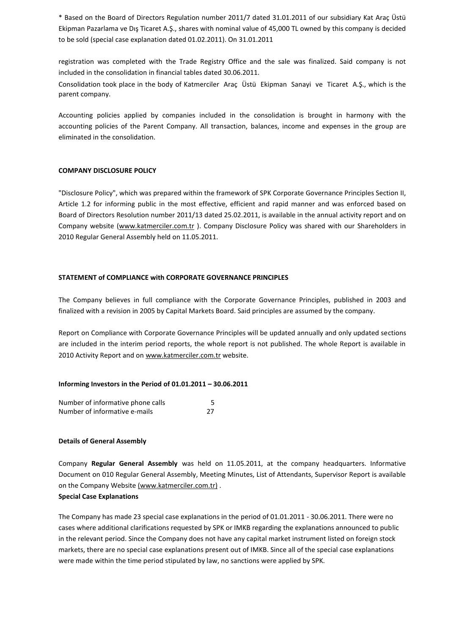\* Based on the Board of Directors Regulation number 2011/7 dated 31.01.2011 of our subsidiary Kat Araç Üstü Ekipman Pazarlama ve Dış Ticaret A.Ş., shares with nominal value of 45,000 TL owned by this company is decided to be sold (special case explanation dated 01.02.2011). On 31.01.2011

registration was completed with the Trade Registry Office and the sale was finalized. Said company is not included in the consolidation in financial tables dated 30.06.2011.

Consolidation took place in the body of Katmerciler Araç Üstü Ekipman Sanayi ve Ticaret A.Ş., which is the parent company.

Accounting policies applied by companies included in the consolidation is brought in harmony with the accounting policies of the Parent Company. All transaction, balances, income and expenses in the group are eliminated in the consolidation.

## **COMPANY DISCLOSURE POLICY**

"Disclosure Policy", which was prepared within the framework of SPK Corporate Governance Principles Section II, Article 1.2 for informing public in the most effective, efficient and rapid manner and was enforced based on Board of Directors Resolution number 2011/13 dated 25.02.2011, is available in the annual activity report and on Company website [\(www.katmerciler.com.tr](http://www.katmerciler.com.tr/)). Company Disclosure Policy was shared with our Shareholders in 2010 Regular General Assembly held on 11.05.2011.

## **STATEMENT of COMPLIANCE with CORPORATE GOVERNANCE PRINCIPLES**

The Company believes in full compliance with the Corporate Governance Principles, published in 2003 and finalized with a revision in 2005 by Capital Markets Board. Said principles are assumed by the company.

Report on Compliance with Corporate Governance Principles will be updated annually and only updated sections are included in the interim period reports, the whole report is not published. The whole Report is available in 2010 Activity Report and on [www.katmerciler.com.tr](http://www.katmerciler.com.tr/) website.

#### **Informing Investors in the Period of 01.01.2011 – 30.06.2011**

| Number of informative phone calls |    |
|-----------------------------------|----|
| Number of informative e-mails     | 27 |

#### **Details of General Assembly**

Company **Regular General Assembly** was held on 11.05.2011, at the company headquarters. Informative Document on 010 Regular General Assembly, Meeting Minutes, List of Attendants, Supervisor Report is available on the Company Website [\(www.katmerciler.com.tr\)](http://www.katmerciler.com.tr/).

## **Special Case Explanations**

The Company has made 23 special case explanations in the period of 01.01.2011 - 30.06.2011. There were no cases where additional clarifications requested by SPK or IMKB regarding the explanations announced to public in the relevant period. Since the Company does not have any capital market instrument listed on foreign stock markets, there are no special case explanations present out of IMKB. Since all of the special case explanations were made within the time period stipulated by law, no sanctions were applied by SPK.